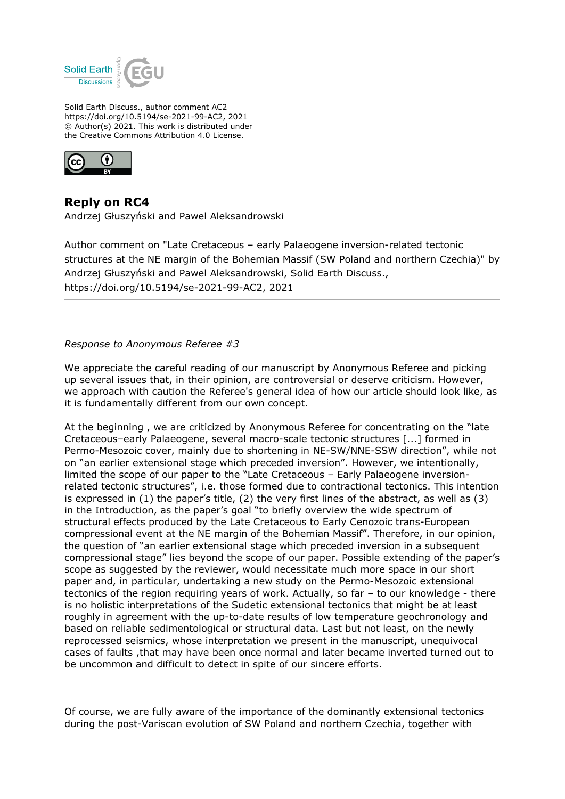

Solid Earth Discuss., author comment AC2 https://doi.org/10.5194/se-2021-99-AC2, 2021 © Author(s) 2021. This work is distributed under the Creative Commons Attribution 4.0 License.



## **Reply on RC4**

Andrzej Głuszyński and Pawel Aleksandrowski

Author comment on "Late Cretaceous – early Palaeogene inversion-related tectonic structures at the NE margin of the Bohemian Massif (SW Poland and northern Czechia)" by Andrzej Głuszyński and Pawel Aleksandrowski, Solid Earth Discuss., https://doi.org/10.5194/se-2021-99-AC2, 2021

## *Response to Anonymous Referee #3*

We appreciate the careful reading of our manuscript by Anonymous Referee and picking up several issues that, in their opinion, are controversial or deserve criticism. However, we approach with caution the Referee's general idea of how our article should look like, as it is fundamentally different from our own concept.

At the beginning , we are criticized by Anonymous Referee for concentrating on the "late Cretaceous–early Palaeogene, several macro-scale tectonic structures [...] formed in Permo-Mesozoic cover, mainly due to shortening in NE-SW/NNE-SSW direction", while not on "an earlier extensional stage which preceded inversion". However, we intentionally, limited the scope of our paper to the "Late Cretaceous – Early Palaeogene inversionrelated tectonic structures", i.e. those formed due to contractional tectonics. This intention is expressed in (1) the paper's title, (2) the very first lines of the abstract, as well as (3) in the Introduction, as the paper's goal "to briefly overview the wide spectrum of structural effects produced by the Late Cretaceous to Early Cenozoic trans-European compressional event at the NE margin of the Bohemian Massif". Therefore, in our opinion, the question of "an earlier extensional stage which preceded inversion in a subsequent compressional stage" lies beyond the scope of our paper. Possible extending of the paper's scope as suggested by the reviewer, would necessitate much more space in our short paper and, in particular, undertaking a new study on the Permo-Mesozoic extensional tectonics of the region requiring years of work. Actually, so far – to our knowledge - there is no holistic interpretations of the Sudetic extensional tectonics that might be at least roughly in agreement with the up-to-date results of low temperature geochronology and based on reliable sedimentological or structural data. Last but not least, on the newly reprocessed seismics, whose interpretation we present in the manuscript, unequivocal cases of faults ,that may have been once normal and later became inverted turned out to be uncommon and difficult to detect in spite of our sincere efforts.

Of course, we are fully aware of the importance of the dominantly extensional tectonics during the post-Variscan evolution of SW Poland and northern Czechia, together with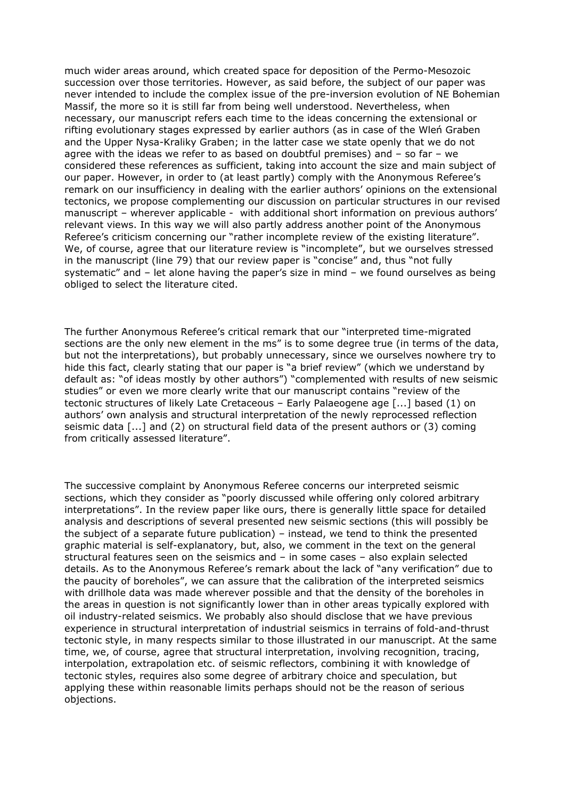much wider areas around, which created space for deposition of the Permo-Mesozoic succession over those territories. However, as said before, the subject of our paper was never intended to include the complex issue of the pre-inversion evolution of NE Bohemian Massif, the more so it is still far from being well understood. Nevertheless, when necessary, our manuscript refers each time to the ideas concerning the extensional or rifting evolutionary stages expressed by earlier authors (as in case of the Wleń Graben and the Upper Nysa-Kraliky Graben; in the latter case we state openly that we do not agree with the ideas we refer to as based on doubtful premises) and – so far – we considered these references as sufficient, taking into account the size and main subject of our paper. However, in order to (at least partly) comply with the Anonymous Referee's remark on our insufficiency in dealing with the earlier authors' opinions on the extensional tectonics, we propose complementing our discussion on particular structures in our revised manuscript – wherever applicable - with additional short information on previous authors' relevant views. In this way we will also partly address another point of the Anonymous Referee's criticism concerning our "rather incomplete review of the existing literature". We, of course, agree that our literature review is "incomplete", but we ourselves stressed in the manuscript (line 79) that our review paper is "concise" and, thus "not fully systematic" and – let alone having the paper's size in mind – we found ourselves as being obliged to select the literature cited.

The further Anonymous Referee's critical remark that our "interpreted time-migrated sections are the only new element in the ms" is to some degree true (in terms of the data, but not the interpretations), but probably unnecessary, since we ourselves nowhere try to hide this fact, clearly stating that our paper is "a brief review" (which we understand by default as: "of ideas mostly by other authors") "complemented with results of new seismic studies" or even we more clearly write that our manuscript contains "review of the tectonic structures of likely Late Cretaceous – Early Palaeogene age [...] based (1) on authors' own analysis and structural interpretation of the newly reprocessed reflection seismic data [...] and (2) on structural field data of the present authors or (3) coming from critically assessed literature".

The successive complaint by Anonymous Referee concerns our interpreted seismic sections, which they consider as "poorly discussed while offering only colored arbitrary interpretations". In the review paper like ours, there is generally little space for detailed analysis and descriptions of several presented new seismic sections (this will possibly be the subject of a separate future publication) – instead, we tend to think the presented graphic material is self-explanatory, but, also, we comment in the text on the general structural features seen on the seismics and – in some cases – also explain selected details. As to the Anonymous Referee's remark about the lack of "any verification" due to the paucity of boreholes", we can assure that the calibration of the interpreted seismics with drillhole data was made wherever possible and that the density of the boreholes in the areas in question is not significantly lower than in other areas typically explored with oil industry-related seismics. We probably also should disclose that we have previous experience in structural interpretation of industrial seismics in terrains of fold-and-thrust tectonic style, in many respects similar to those illustrated in our manuscript. At the same time, we, of course, agree that structural interpretation, involving recognition, tracing, interpolation, extrapolation etc. of seismic reflectors, combining it with knowledge of tectonic styles, requires also some degree of arbitrary choice and speculation, but applying these within reasonable limits perhaps should not be the reason of serious objections.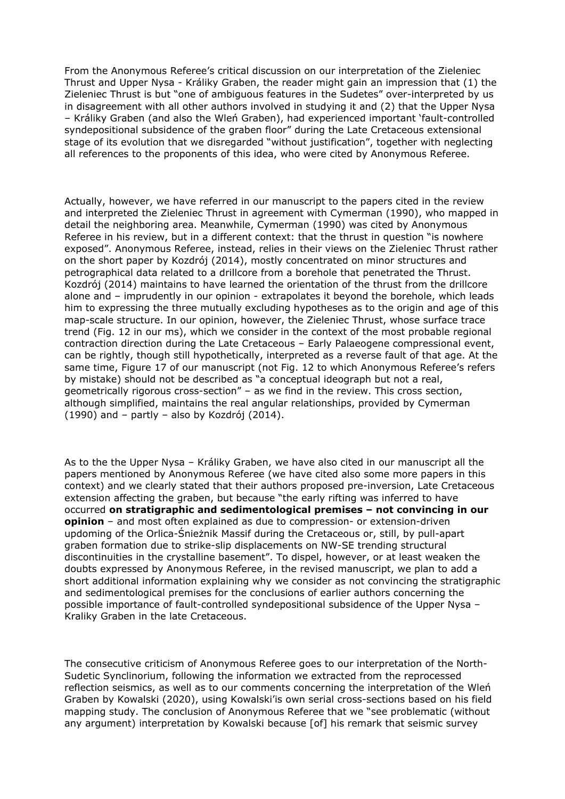From the Anonymous Referee's critical discussion on our interpretation of the Zieleniec Thrust and Upper Nysa - Králiky Graben, the reader might gain an impression that (1) the Zieleniec Thrust is but "one of ambiguous features in the Sudetes" over-interpreted by us in disagreement with all other authors involved in studying it and (2) that the Upper Nysa – Králiky Graben (and also the Wleń Graben), had experienced important 'fault-controlled syndepositional subsidence of the graben floor" during the Late Cretaceous extensional stage of its evolution that we disregarded "without justification", together with neglecting all references to the proponents of this idea, who were cited by Anonymous Referee.

Actually, however, we have referred in our manuscript to the papers cited in the review and interpreted the Zieleniec Thrust in agreement with Cymerman (1990), who mapped in detail the neighboring area. Meanwhile, Cymerman (1990) was cited by Anonymous Referee in his review, but in a different context: that the thrust in question "is nowhere exposed". Anonymous Referee, instead, relies in their views on the Zieleniec Thrust rather on the short paper by Kozdrój (2014), mostly concentrated on minor structures and petrographical data related to a drillcore from a borehole that penetrated the Thrust. Kozdrój (2014) maintains to have learned the orientation of the thrust from the drillcore alone and – imprudently in our opinion - extrapolates it beyond the borehole, which leads him to expressing the three mutually excluding hypotheses as to the origin and age of this map-scale structure. In our opinion, however, the Zieleniec Thrust, whose surface trace trend (Fig. 12 in our ms), which we consider in the context of the most probable regional contraction direction during the Late Cretaceous – Early Palaeogene compressional event, can be rightly, though still hypothetically, interpreted as a reverse fault of that age. At the same time, Figure 17 of our manuscript (not Fig. 12 to which Anonymous Referee's refers by mistake) should not be described as "a conceptual ideograph but not a real, geometrically rigorous cross-section" – as we find in the review. This cross section, although simplified, maintains the real angular relationships, provided by Cymerman (1990) and – partly – also by Kozdrój (2014).

As to the the Upper Nysa – Králiky Graben, we have also cited in our manuscript all the papers mentioned by Anonymous Referee (we have cited also some more papers in this context) and we clearly stated that their authors proposed pre-inversion, Late Cretaceous extension affecting the graben, but because "the early rifting was inferred to have occurred **on stratigraphic and sedimentological premises – not convincing in our opinion** – and most often explained as due to compression- or extension-driven updoming of the Orlica-Śnieżnik Massif during the Cretaceous or, still, by pull-apart graben formation due to strike-slip displacements on NW-SE trending structural discontinuities in the crystalline basement". To dispel, however, or at least weaken the doubts expressed by Anonymous Referee, in the revised manuscript, we plan to add a short additional information explaining why we consider as not convincing the stratigraphic and sedimentological premises for the conclusions of earlier authors concerning the possible importance of fault-controlled syndepositional subsidence of the Upper Nysa – Kraliky Graben in the late Cretaceous.

The consecutive criticism of Anonymous Referee goes to our interpretation of the North-Sudetic Synclinorium, following the information we extracted from the reprocessed reflection seismics, as well as to our comments concerning the interpretation of the Wleń Graben by Kowalski (2020), using Kowalski'is own serial cross-sections based on his field mapping study. The conclusion of Anonymous Referee that we "see problematic (without any argument) interpretation by Kowalski because [of] his remark that seismic survey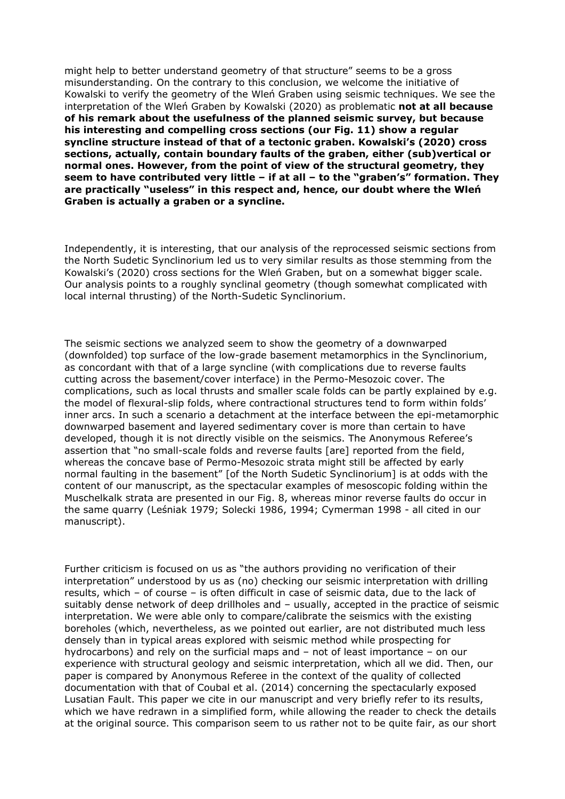might help to better understand geometry of that structure" seems to be a gross misunderstanding. On the contrary to this conclusion, we welcome the initiative of Kowalski to verify the geometry of the Wleń Graben using seismic techniques. We see the interpretation of the Wleń Graben by Kowalski (2020) as problematic **not at all because of his remark about the usefulness of the planned seismic survey, but because his interesting and compelling cross sections (our Fig. 11) show a regular syncline structure instead of that of a tectonic graben. Kowalski's (2020) cross sections, actually, contain boundary faults of the graben, either (sub)vertical or normal ones. However, from the point of view of the structural geometry, they seem to have contributed very little – if at all – to the "graben's" formation. They are practically "useless" in this respect and, hence, our doubt where the Wleń Graben is actually a graben or a syncline.**

Independently, it is interesting, that our analysis of the reprocessed seismic sections from the North Sudetic Synclinorium led us to very similar results as those stemming from the Kowalski's (2020) cross sections for the Wleń Graben, but on a somewhat bigger scale. Our analysis points to a roughly synclinal geometry (though somewhat complicated with local internal thrusting) of the North-Sudetic Synclinorium.

The seismic sections we analyzed seem to show the geometry of a downwarped (downfolded) top surface of the low-grade basement metamorphics in the Synclinorium, as concordant with that of a large syncline (with complications due to reverse faults cutting across the basement/cover interface) in the Permo-Mesozoic cover. The complications, such as local thrusts and smaller scale folds can be partly explained by e.g. the model of flexural-slip folds, where contractional structures tend to form within folds' inner arcs. In such a scenario a detachment at the interface between the epi-metamorphic downwarped basement and layered sedimentary cover is more than certain to have developed, though it is not directly visible on the seismics. The Anonymous Referee's assertion that "no small-scale folds and reverse faults [are] reported from the field, whereas the concave base of Permo-Mesozoic strata might still be affected by early normal faulting in the basement" [of the North Sudetic Synclinorium] is at odds with the content of our manuscript, as the spectacular examples of mesoscopic folding within the Muschelkalk strata are presented in our Fig. 8, whereas minor reverse faults do occur in the same quarry (Leśniak 1979; Solecki 1986, 1994; Cymerman 1998 - all cited in our manuscript).

Further criticism is focused on us as "the authors providing no verification of their interpretation" understood by us as (no) checking our seismic interpretation with drilling results, which – of course – is often difficult in case of seismic data, due to the lack of suitably dense network of deep drillholes and – usually, accepted in the practice of seismic interpretation. We were able only to compare/calibrate the seismics with the existing boreholes (which, nevertheless, as we pointed out earlier, are not distributed much less densely than in typical areas explored with seismic method while prospecting for hydrocarbons) and rely on the surficial maps and – not of least importance – on our experience with structural geology and seismic interpretation, which all we did. Then, our paper is compared by Anonymous Referee in the context of the quality of collected documentation with that of Coubal et al. (2014) concerning the spectacularly exposed Lusatian Fault. This paper we cite in our manuscript and very briefly refer to its results, which we have redrawn in a simplified form, while allowing the reader to check the details at the original source. This comparison seem to us rather not to be quite fair, as our short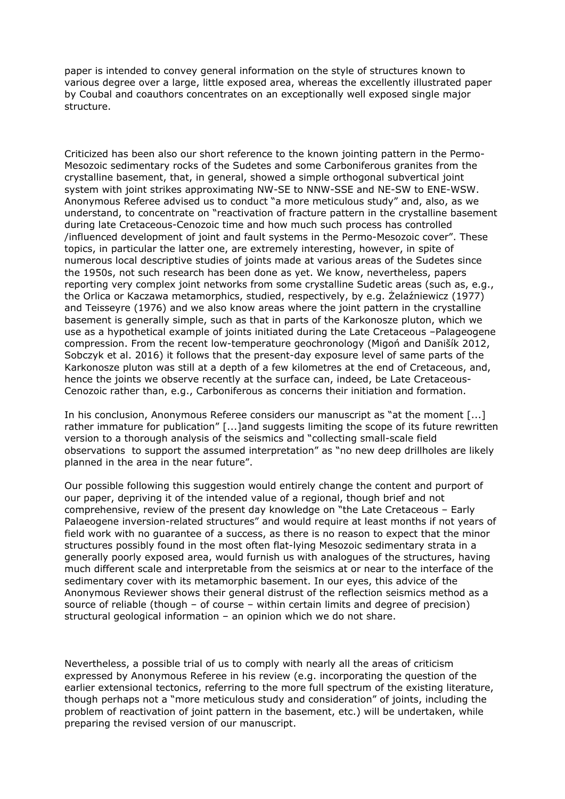paper is intended to convey general information on the style of structures known to various degree over a large, little exposed area, whereas the excellently illustrated paper by Coubal and coauthors concentrates on an exceptionally well exposed single major structure.

Criticized has been also our short reference to the known jointing pattern in the Permo-Mesozoic sedimentary rocks of the Sudetes and some Carboniferous granites from the crystalline basement, that, in general, showed a simple orthogonal subvertical joint system with joint strikes approximating NW-SE to NNW-SSE and NE-SW to ENE-WSW. Anonymous Referee advised us to conduct "a more meticulous study" and, also, as we understand, to concentrate on "reactivation of fracture pattern in the crystalline basement during late Cretaceous-Cenozoic time and how much such process has controlled /influenced development of joint and fault systems in the Permo-Mesozoic cover". These topics, in particular the latter one, are extremely interesting, however, in spite of numerous local descriptive studies of joints made at various areas of the Sudetes since the 1950s, not such research has been done as yet. We know, nevertheless, papers reporting very complex joint networks from some crystalline Sudetic areas (such as, e.g., the Orlica or Kaczawa metamorphics, studied, respectively, by e.g. Żelaźniewicz (1977) and Teisseyre (1976) and we also know areas where the joint pattern in the crystalline basement is generally simple, such as that in parts of the Karkonosze pluton, which we use as a hypothetical example of joints initiated during the Late Cretaceous –Palageogene compression. From the recent low-temperature geochronology (Migoń and Danišík 2012, Sobczyk et al. 2016) it follows that the present-day exposure level of same parts of the Karkonosze pluton was still at a depth of a few kilometres at the end of Cretaceous, and, hence the joints we observe recently at the surface can, indeed, be Late Cretaceous-Cenozoic rather than, e.g., Carboniferous as concerns their initiation and formation.

In his conclusion, Anonymous Referee considers our manuscript as "at the moment [...] rather immature for publication" [...]and suggests limiting the scope of its future rewritten version to a thorough analysis of the seismics and "collecting small-scale field observations to support the assumed interpretation" as "no new deep drillholes are likely planned in the area in the near future".

Our possible following this suggestion would entirely change the content and purport of our paper, depriving it of the intended value of a regional, though brief and not comprehensive, review of the present day knowledge on "the Late Cretaceous – Early Palaeogene inversion-related structures" and would require at least months if not years of field work with no guarantee of a success, as there is no reason to expect that the minor structures possibly found in the most often flat-lying Mesozoic sedimentary strata in a generally poorly exposed area, would furnish us with analogues of the structures, having much different scale and interpretable from the seismics at or near to the interface of the sedimentary cover with its metamorphic basement. In our eyes, this advice of the Anonymous Reviewer shows their general distrust of the reflection seismics method as a source of reliable (though – of course – within certain limits and degree of precision) structural geological information – an opinion which we do not share.

Nevertheless, a possible trial of us to comply with nearly all the areas of criticism expressed by Anonymous Referee in his review (e.g. incorporating the question of the earlier extensional tectonics, referring to the more full spectrum of the existing literature, though perhaps not a "more meticulous study and consideration" of joints, including the problem of reactivation of joint pattern in the basement, etc.) will be undertaken, while preparing the revised version of our manuscript.